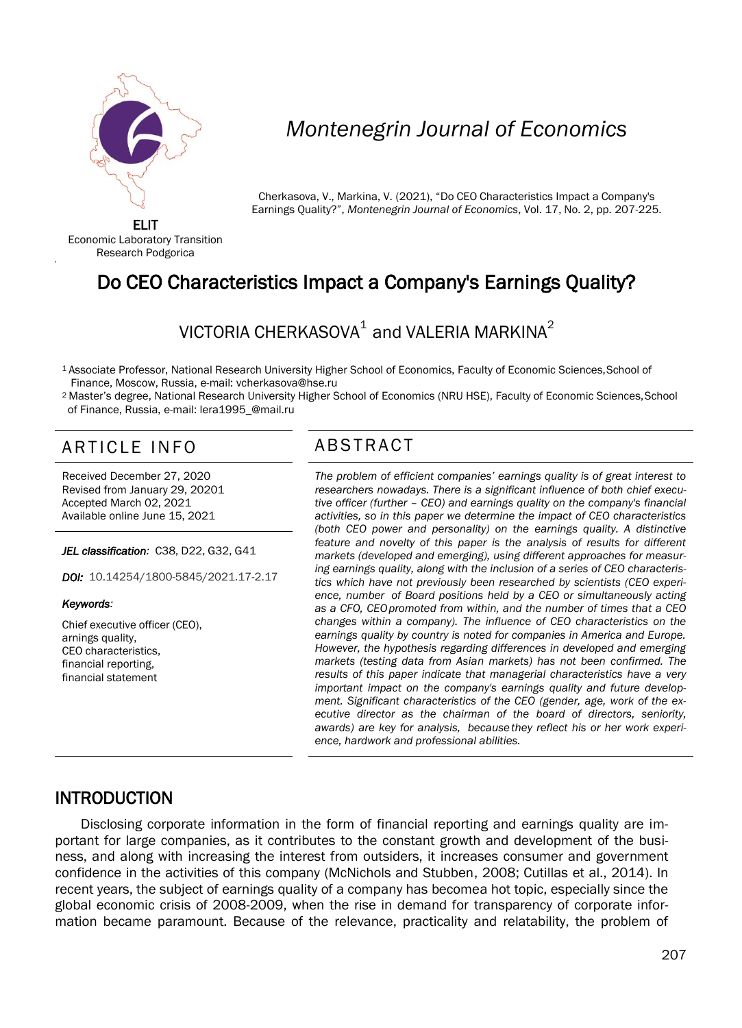

# *Montenegrin Journal of Economics*

Cherkasova, V., Markina, V. (2021), "Do CEO Characteristics Impact a Company's Earnings Quality?", *Montenegrin Journal of Economics*, Vol. 17, No. 2, pp. 207-225.

ELIT Economic Laboratory Transition Research Podgorica

'

# Do CEO Characteristics Impact a Company's Earnings Quality?

# VICTORIA CHERKASOVA $^{\rm 1}$  and VALERIA MARKINA $^{\rm 2}$

<sup>1</sup>Associate Professor, National Research University Higher School of Economics, Faculty of Economic Sciences,School of Finance, Moscow, Russia, e-mail: [vcherkasova@hse.ru](mailto:vcherkasova@hse.ru)

<sup>2</sup>Master's degree, National Research University Higher School of Economics (NRU HSE), Faculty of Economic Sciences,School of Finance, Russia, e-mail: [lera1995\\_@mail.ru](mailto:lera1995_@mail.ru)

# ARTICI FIN FOST ABSTRACT

Received December 27, 2020 Revised from January 29, 20201 Accepted March 02, 2021 Available online June 15, 2021

#### *JEL classification:* C38, D22, G32, G41

*DOI:* 10.14254/1800-5845/2021.17-2.17

#### *Keywords:*

Chief executive officer (CEO), arnings quality, CEO characteristics, financial reporting, financial statement

 *The problem of efficient companies' earnings quality is of great interest to researchers nowadays. There is a significant influence of both chief executive officer (further – CEO) and earnings quality on the company's financial activities, so in this paper we determine the impact of CEO characteristics (both CEO power and personality) on the earnings quality. A distinctive feature and novelty of this paper is the analysis of results for different markets (developed and emerging), using different approaches for measuring earnings quality, along with the inclusion of a series of CEO characteristics which have not previously been researched by scientists (CEO experience, number of Board positions held by a CEO or simultaneously acting as a CFO, CEOpromoted from within, and the number of times that a CEO changes within a company). The influence of CEO characteristics on the earnings quality by country is noted for companies in America and Europe. However, the hypothesis regarding differences in developed and emerging markets (testing data from Asian markets) has not been confirmed. The results of this paper indicate that managerial characteristics have a very important impact on the company's earnings quality and future development. Significant characteristics of the CEO (gender, age, work of the executive director as the chairman of the board of directors, seniority, awards) are key for analysis, because they reflect his or her work experience, hardwork and professional abilities.*

# INTRODUCTION

Disclosing corporate information in the form of financial reporting and earnings quality are important for large companies, as it contributes to the constant growth and development of the business, and along with increasing the interest from outsiders, it increases consumer and government confidence in the activities of this company (McNichols and Stubben, 2008; Cutillas et al., 2014). In recent years, the subject of earnings quality of a company has becomea hot topic, especially since the global economic crisis of 2008-2009, when the rise in demand for transparency of corporate information became paramount. Because of the relevance, practicality and relatability, the problem of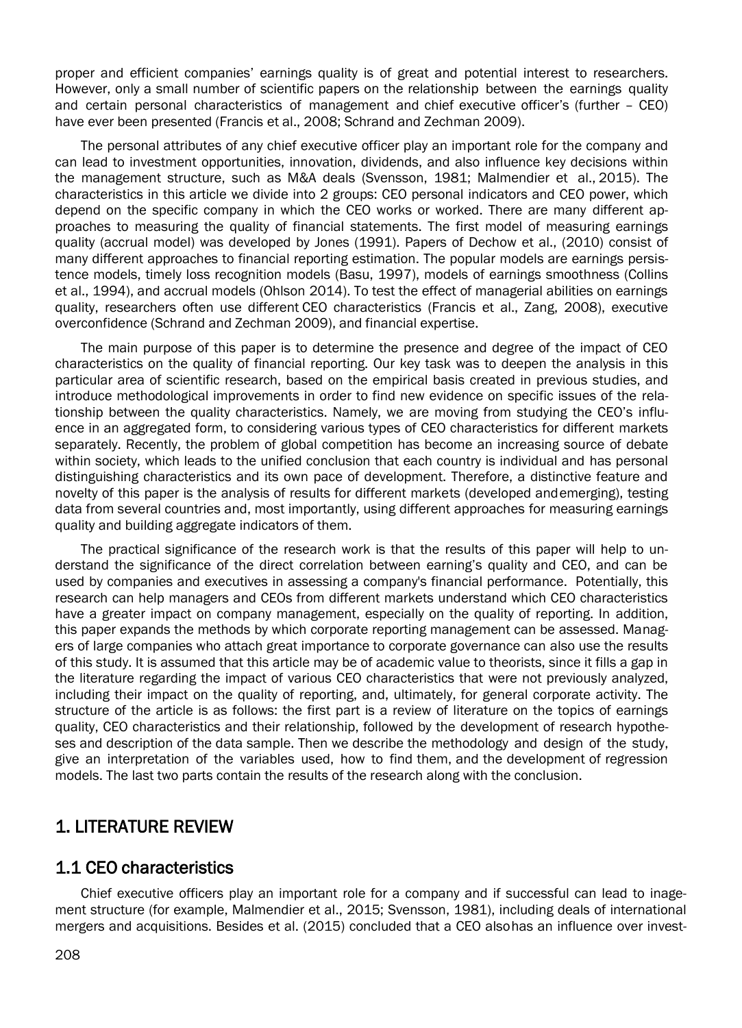proper and efficient companies' earnings quality is of great and potential interest to researchers. However, only a small number of scientific papers on the relationship between the earnings quality and certain personal characteristics of management and chief executive officer's (further – CEO) have ever been presented (Francis et al., 2008; Schrand and Zechman 2009).

The personal attributes of any chief executive officer play an important role for the company and can lead to investment opportunities, innovation, dividends, and also influence key decisions within the management structure, such as M&A deals (Svensson, 1981; Malmendier et al., 2015). The characteristics in this article we divide into 2 groups: CEO personal indicators and CEO power, which depend on the specific company in which the CEO works or worked. There are many different approaches to measuring the quality of financial statements. The first model of measuring earnings quality (accrual model) was developed by Jones (1991). Papers of Dechow et al., (2010) consist of many different approaches to financial reporting estimation. The popular models are earnings persistence models, timely loss recognition models (Basu, 1997), models of earnings smoothness (Collins et al., 1994), and accrual models (Ohlson 2014). To test the effect of managerial abilities on earnings quality, researchers often use different CEO characteristics (Francis et al., Zang, 2008), executive overconfidence (Schrand and Zechman 2009), and financial expertise.

The main purpose of this paper is to determine the presence and degree of the impact of CEO characteristics on the quality of financial reporting. Our key task was to deepen the analysis in this particular area of scientific research, based on the empirical basis created in previous studies, and introduce methodological improvements in order to find new evidence on specific issues of the relationship between the quality characteristics. Namely, we are moving from studying the CEO's influence in an aggregated form, to considering various types of CEO characteristics for different markets separately. Recently, the problem of global competition has become an increasing source of debate within society, which leads to the unified conclusion that each country is individual and has personal distinguishing characteristics and its own pace of development. Therefore, a distinctive feature and novelty of this paper is the analysis of results for different markets (developed andemerging), testing data from several countries and, most importantly, using different approaches for measuring earnings quality and building aggregate indicators of them.

The practical significance of the research work is that the results of this paper will help to understand the significance of the direct correlation between earning's quality and CEO, and can be used by companies and executives in assessing a company's financial performance. Potentially, this research can help managers and CEOs from different markets understand which CEO characteristics have a greater impact on company management, especially on the quality of reporting. In addition, this paper expands the methods by which corporate reporting management can be assessed. Managers of large companies who attach great importance to corporate governance can also use the results of this study. It is assumed that this article may be of academic value to theorists, since it fills a gap in the literature regarding the impact of various CEO characteristics that were not previously analyzed, including their impact on the quality of reporting, and, ultimately, for general corporate activity. The structure of the article is as follows: the first part is a review of literature on the topics of earnings quality, CEO characteristics and their relationship, followed by the development of research hypotheses and description of the data sample. Then we describe the methodology and design of the study, give an interpretation of the variables used, how to find them, and the development of regression models. The last two parts contain the results of the research along with the conclusion.

# 1. LITERATURE REVIEW

### 1.1 CEO characteristics

Chief executive officers play an important role for a company and if successful can lead to inagement structure (for example, Malmendier et al., 2015; Svensson, 1981), including deals of international mergers and acquisitions. Besides et al. (2015) concluded that a CEO alsohas an influence over invest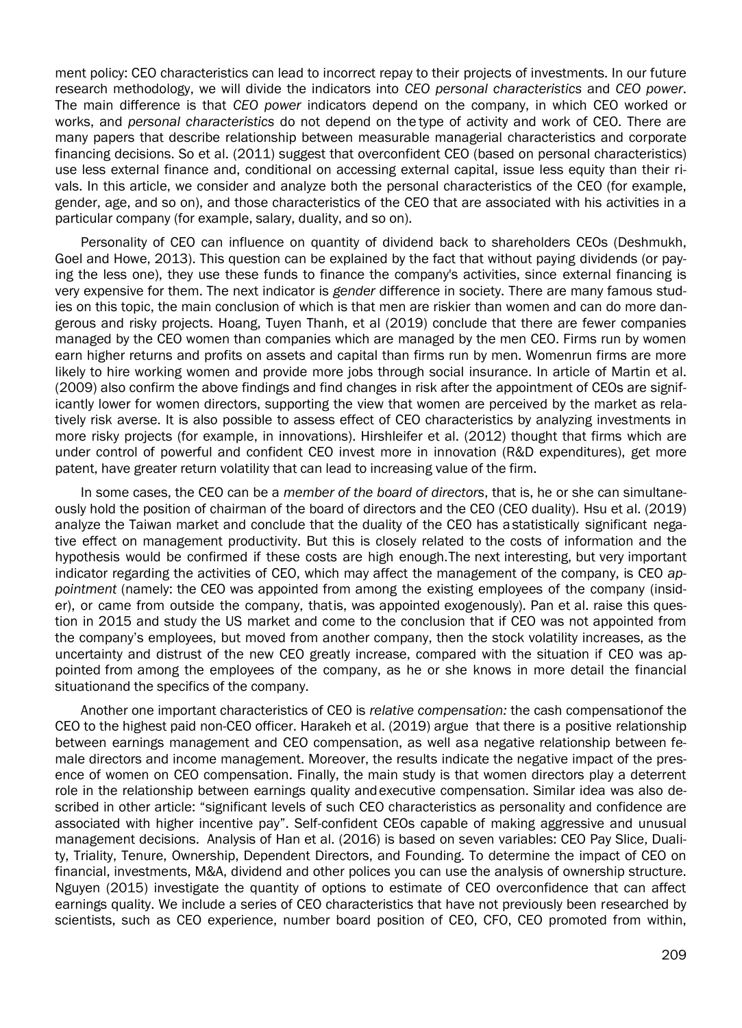ment policy: CEO characteristics can lead to incorrect repay to their projects of investments. In our future research methodology, we will divide the indicators into *CEO personal characteristics* and *CEO power*. The main difference is that *CEO power* indicators depend on the company, in which CEO worked or works, and *personal characteristics* do not depend on the type of activity and work of CEO. There are many papers that describe relationship between measurable managerial characteristics and corporate financing decisions. So et al. (2011) suggest that overconfident CEO (based on personal characteristics) use less external finance and, conditional on accessing external capital, issue less equity than their rivals. In this article, we consider and analyze both the personal characteristics of the CEO (for example, gender, age, and so on), and those characteristics of the CEO that are associated with his activities in a particular company (for example, salary, duality, and so on).

Personality of CEO can influence on quantity of dividend back to shareholders CEOs (Deshmukh, Goel and Howe, 2013). This question can be explained by the fact that without paying dividends (or paying the less one), they use these funds to finance the company's activities, since external financing is very expensive for them. The next indicator is *gender* difference in society. There are many famous studies on this topic, the main conclusion of which is that men are riskier than women and can do more dangerous and risky projects. Hoang, Tuyen Thanh, et al (2019) conclude that there are fewer companies managed by the CEO women than companies which are managed by the men CEO. Firms run by women earn higher returns and profits on assets and capital than firms run by men. Womenrun firms are more likely to hire working women and provide more jobs through social insurance. In article of Martin et al. (2009) also confirm the above findings and find changes in risk after the appointment of CEOs are significantly lower for women directors, supporting the view that women are perceived by the market as relatively risk averse. It is also possible to assess effect of CEO characteristics by analyzing investments in more risky projects (for example, in innovations). Hirshleifer et al. (2012) thought that firms which are under control of powerful and confident CEO invest more in innovation (R&D expenditures), get more patent, have greater return volatility that can lead to increasing value of the firm.

In some cases, the CEO can be a *member of the board of directors*, that is, he or she can simultaneously hold the position of chairman of the board of directors and the CEO (CEO duality). Hsu et al. (2019) analyze the Taiwan market and conclude that the duality of the CEO has astatistically significant negative effect on management productivity. But this is closely related to the costs of information and the hypothesis would be confirmed if these costs are high enough.The next interesting, but very important indicator regarding the activities of CEO, which may affect the management of the company, is CEO *appointment* (namely: the CEO was appointed from among the existing employees of the company (insider), or came from outside the company, thatis, was appointed exogenously). Pan et al. raise this question in 2015 and study the US market and come to the conclusion that if CEO was not appointed from the company's employees, but moved from another company, then the stock volatility increases, as the uncertainty and distrust of the new CEO greatly increase, compared with the situation if CEO was appointed from among the employees of the company, as he or she knows in more detail the financial situationand the specifics of the company.

Another one important characteristics of CEO is *relative compensation:* the cash compensationof the CEO to the highest paid non-CEO officer. Harakeh et al. (2019) argue that there is a positive relationship between earnings management and CEO compensation, as well asa negative relationship between female directors and income management. Moreover, the results indicate the negative impact of the presence of women on CEO compensation. Finally, the main study is that women directors play a deterrent role in the relationship between earnings quality andexecutive compensation. Similar idea was also described in other article: "significant levels of such CEO characteristics as personality and confidence are associated with higher incentive pay". Self-confident CEOs capable of making aggressive and unusual management decisions. Analysis of Han et al. (2016) is based on seven variables: CEO Pay Slice, Duality, Triality, Tenure, Ownership, Dependent Directors, and Founding. To determine the impact of CEO on financial, investments, M&A, dividend and other polices you can use the analysis of ownership structure. Nguyen (2015) investigate the quantity of options to estimate of CEO overconfidence that can affect earnings quality. We include a series of CEO characteristics that have not previously been researched by scientists, such as CEO experience, number board position of CEO, CFO, CEO promoted from within,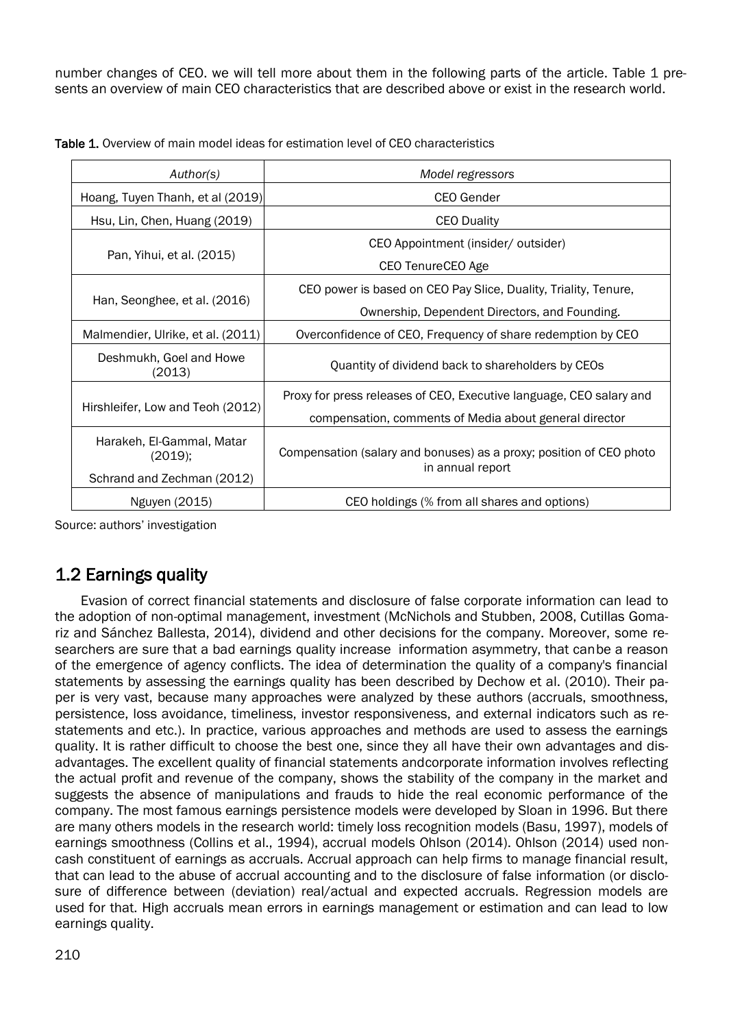number changes of CEO. we will tell more about them in the following parts of the article. Table 1 presents an overview of main CEO characteristics that are described above or exist in the research world.

| Author(s)                            | Model regressors                                                                        |  |  |  |  |
|--------------------------------------|-----------------------------------------------------------------------------------------|--|--|--|--|
| Hoang, Tuyen Thanh, et al (2019)     | CEO Gender                                                                              |  |  |  |  |
| Hsu, Lin, Chen, Huang (2019)         | <b>CEO Duality</b>                                                                      |  |  |  |  |
|                                      | CEO Appointment (insider/ outsider)                                                     |  |  |  |  |
| Pan, Yihui, et al. (2015)            | CEO TenureCEO Age                                                                       |  |  |  |  |
|                                      | CEO power is based on CEO Pay Slice, Duality, Triality, Tenure,                         |  |  |  |  |
| Han, Seonghee, et al. (2016)         | Ownership, Dependent Directors, and Founding.                                           |  |  |  |  |
| Malmendier, Ulrike, et al. (2011)    | Overconfidence of CEO, Frequency of share redemption by CEO                             |  |  |  |  |
| Deshmukh, Goel and Howe<br>(2013)    | Quantity of dividend back to shareholders by CEOs                                       |  |  |  |  |
|                                      | Proxy for press releases of CEO, Executive language, CEO salary and                     |  |  |  |  |
| Hirshleifer, Low and Teoh (2012)     | compensation, comments of Media about general director                                  |  |  |  |  |
| Harakeh, El-Gammal, Matar<br>(2019); | Compensation (salary and bonuses) as a proxy; position of CEO photo<br>in annual report |  |  |  |  |
| Schrand and Zechman (2012)           |                                                                                         |  |  |  |  |
| Nguyen (2015)                        | CEO holdings (% from all shares and options)                                            |  |  |  |  |

Table 1. Overview of main model ideas for estimation level of CEO characteristics

Source: authors' investigation

# 1.2 Earnings quality

Evasion of correct financial statements and disclosure of false corporate information can lead to the adoption of non-optimal management, investment (McNichols and Stubben, 2008, Cutillas Gomariz and Sánchez Ballesta, 2014), dividend and other decisions for the company. Moreover, some researchers are sure that a bad earnings quality increase information asymmetry, that canbe a reason of the emergence of agency conflicts. The idea of determination the quality of a company's financial statements by assessing the earnings quality has been described by Dechow et al. (2010). Their paper is very vast, because many approaches were analyzed by these authors (accruals, smoothness, persistence, loss avoidance, timeliness, investor responsiveness, and external indicators such as restatements and etc.). In practice, various approaches and methods are used to assess the earnings quality. It is rather difficult to choose the best one, since they all have their own advantages and disadvantages. The excellent quality of financial statements andcorporate information involves reflecting the actual profit and revenue of the company, shows the stability of the company in the market and suggests the absence of manipulations and frauds to hide the real economic performance of the company. The most famous earnings persistence models were developed by Sloan in 1996. But there are many others models in the research world: timely loss recognition models (Basu, 1997), models of earnings smoothness (Collins et al., 1994), accrual models Ohlson (2014). Ohlson (2014) used noncash constituent of earnings as accruals. Accrual approach can help firms to manage financial result, that can lead to the abuse of accrual accounting and to the disclosure of false information (or disclosure of difference between (deviation) real/actual and expected accruals. Regression models are used for that. High accruals mean errors in earnings management or estimation and can lead to low earnings quality.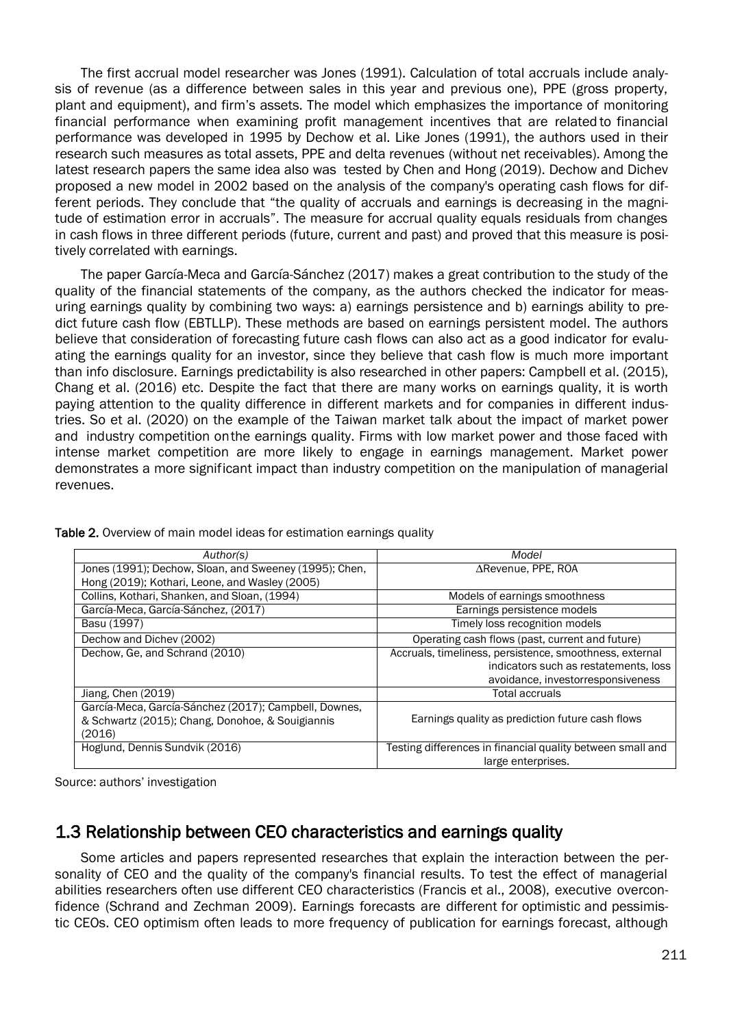The first accrual model researcher was Jones (1991). Calculation of total accruals include analysis of revenue (as a difference between sales in this year and previous one), PPE (gross property, plant and equipment), and firm's assets. The model which emphasizes the importance of monitoring financial performance when examining profit management incentives that are related to financial performance was developed in 1995 by Dechow et al. Like Jones (1991), the authors used in their research such measures as total assets, PPE and delta revenues (without net receivables). Among the latest research papers the same idea also was tested by Chen and Hong (2019). Dechow and Dichev proposed a new model in 2002 based on the analysis of the company's operating cash flows for different periods. They conclude that "the quality of accruals and earnings is decreasing in the magnitude of estimation error in accruals". The measure for accrual quality equals residuals from changes in cash flows in three different periods (future, current and past) and proved that this measure is positively correlated with earnings.

The paper García-Meca and García-Sánchez (2017) makes a great contribution to the study of the quality of the financial statements of the company, as the authors checked the indicator for measuring earnings quality by combining two ways: a) earnings persistence and b) earnings ability to predict future cash flow (EBTLLP). These methods are based on earnings persistent model. The authors believe that consideration of forecasting future cash flows can also act as a good indicator for evaluating the earnings quality for an investor, since they believe that cash flow is much more important than info disclosure. Earnings predictability is also researched in other papers: Campbell et al. (2015), Chang et al. (2016) etc. Despite the fact that there are many works on earnings quality, it is worth paying attention to the quality difference in different markets and for companies in different industries. So et al. (2020) on the example of the Taiwan market talk about the impact of market power and industry competition onthe earnings quality. Firms with low market power and those faced with intense market competition are more likely to engage in earnings management. Market power demonstrates a more significant impact than industry competition on the manipulation of managerial revenues.

| Author(s)                                                                                                           | Model                                                                                                                                 |
|---------------------------------------------------------------------------------------------------------------------|---------------------------------------------------------------------------------------------------------------------------------------|
| Jones (1991); Dechow, Sloan, and Sweeney (1995); Chen,                                                              | $\Delta$ Revenue, PPE, ROA                                                                                                            |
| Hong (2019); Kothari, Leone, and Wasley (2005)                                                                      |                                                                                                                                       |
| Collins, Kothari, Shanken, and Sloan, (1994)                                                                        | Models of earnings smoothness                                                                                                         |
| García-Meca, García-Sánchez, (2017)                                                                                 | Earnings persistence models                                                                                                           |
| Basu (1997)                                                                                                         | Timely loss recognition models                                                                                                        |
| Dechow and Dichev (2002)                                                                                            | Operating cash flows (past, current and future)                                                                                       |
| Dechow, Ge, and Schrand (2010)                                                                                      | Accruals, timeliness, persistence, smoothness, external<br>indicators such as restatements, loss<br>avoidance, investorresponsiveness |
| Jiang, Chen (2019)                                                                                                  | <b>Total accruals</b>                                                                                                                 |
| García-Meca, García-Sánchez (2017); Campbell, Downes,<br>& Schwartz (2015); Chang, Donohoe, & Souigiannis<br>(2016) | Earnings quality as prediction future cash flows                                                                                      |
| Hoglund, Dennis Sundvik (2016)                                                                                      | Testing differences in financial quality between small and<br>large enterprises.                                                      |

Table 2. Overview of main model ideas for estimation earnings quality

Source: authors' investigation

# 1.3 Relationship between CEO characteristics and earnings quality

Some articles and papers represented researches that explain the interaction between the personality of CEO and the quality of the company's financial results. To test the effect of managerial abilities researchers often use different CEO characteristics (Francis et al., 2008), executive overconfidence (Schrand and Zechman 2009). Earnings forecasts are different for optimistic and pessimistic CEOs. CEO optimism often leads to more frequency of publication for earnings forecast, although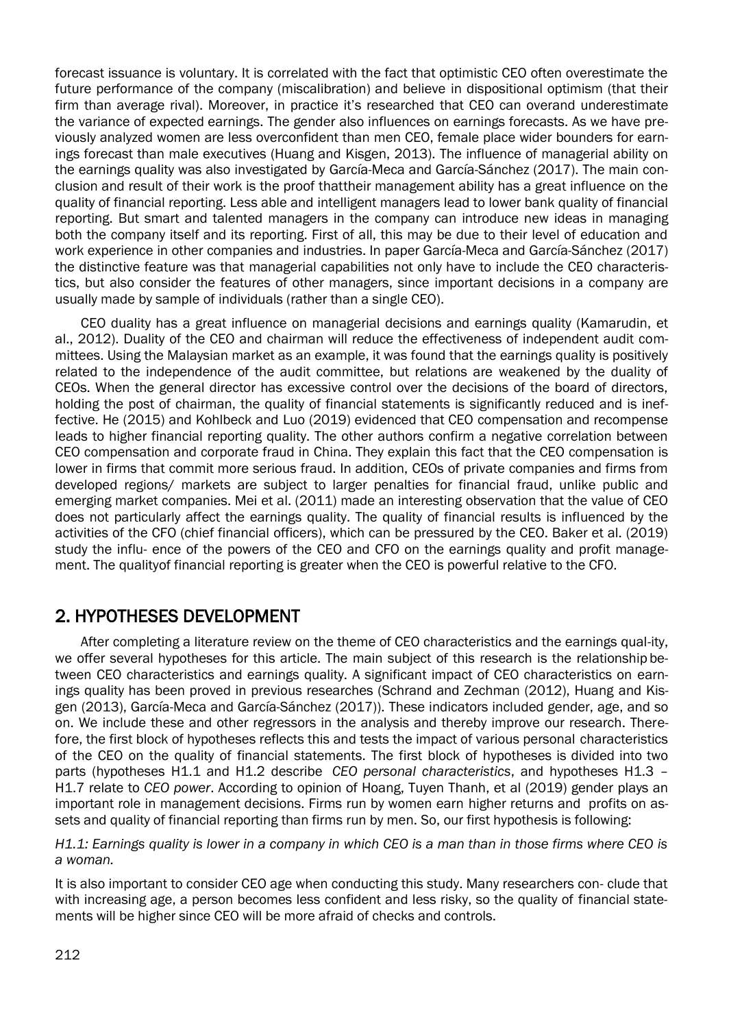forecast issuance is voluntary. It is correlated with the fact that optimistic CEO often overestimate the future performance of the company (miscalibration) and believe in dispositional optimism (that their firm than average rival). Moreover, in practice it's researched that CEO can overand underestimate the variance of expected earnings. The gender also influences on earnings forecasts. As we have previously analyzed women are less overconfident than men CEO, female place wider bounders for earnings forecast than male executives (Huang and Kisgen, 2013). The influence of managerial ability on the earnings quality was also investigated by García-Meca and García-Sánchez (2017). The main conclusion and result of their work is the proof thattheir management ability has a great influence on the quality of financial reporting. Less able and intelligent managers lead to lower bank quality of financial reporting. But smart and talented managers in the company can introduce new ideas in managing both the company itself and its reporting. First of all, this may be due to their level of education and work experience in other companies and industries. In paper García-Meca and García-Sánchez (2017) the distinctive feature was that managerial capabilities not only have to include the CEO characteristics, but also consider the features of other managers, since important decisions in a company are usually made by sample of individuals (rather than a single CEO).

CEO duality has a great influence on managerial decisions and earnings quality (Kamarudin, et al., 2012). Duality of the CEO and chairman will reduce the effectiveness of independent audit committees. Using the Malaysian market as an example, it was found that the earnings quality is positively related to the independence of the audit committee, but relations are weakened by the duality of CEOs. When the general director has excessive control over the decisions of the board of directors, holding the post of chairman, the quality of financial statements is significantly reduced and is ineffective. He (2015) and Kohlbeck and Luo (2019) evidenced that CEO compensation and recompense leads to higher financial reporting quality. The other authors confirm a negative correlation between CEO compensation and corporate fraud in China. They explain this fact that the CEO compensation is lower in firms that commit more serious fraud. In addition, CEOs of private companies and firms from developed regions/ markets are subject to larger penalties for financial fraud, unlike public and emerging market companies. Mei et al. (2011) made an interesting observation that the value of CEO does not particularly affect the earnings quality. The quality of financial results is influenced by the activities of the CFO (chief financial officers), which can be pressured by the CEO. Baker et al. (2019) study the influ- ence of the powers of the CEO and CFO on the earnings quality and profit management. The qualityof financial reporting is greater when the CEO is powerful relative to the CFO.

# 2. HYPOTHESES DEVELOPMENT

After completing a literature review on the theme of CEO characteristics and the earnings qual-ity, we offer several hypotheses for this article. The main subject of this research is the relationship between CEO characteristics and earnings quality. A significant impact of CEO characteristics on earnings quality has been proved in previous researches (Schrand and Zechman (2012), Huang and Kisgen (2013), García-Meca and García-Sánchez (2017)). These indicators included gender, age, and so on. We include these and other regressors in the analysis and thereby improve our research. Therefore, the first block of hypotheses reflects this and tests the impact of various personal characteristics of the CEO on the quality of financial statements. The first block of hypotheses is divided into two parts (hypotheses Н1.1 and H1.2 describe *CEO personal characteristics*, and hypotheses H1.3 – H1.7 relate to *CEO power*. According to opinion of Hoang, Tuyen Thanh, et al (2019) gender plays an important role in management decisions. Firms run by women earn higher returns and profits on assets and quality of financial reporting than firms run by men. So, our first hypothesis is following:

*H1.1: Earnings quality is lower in a company in which CEO is a man than in those firms where CEO is a woman.*

It is also important to consider CEO age when conducting this study. Many researchers con- clude that with increasing age, a person becomes less confident and less risky, so the quality of financial statements will be higher since CEO will be more afraid of checks and controls.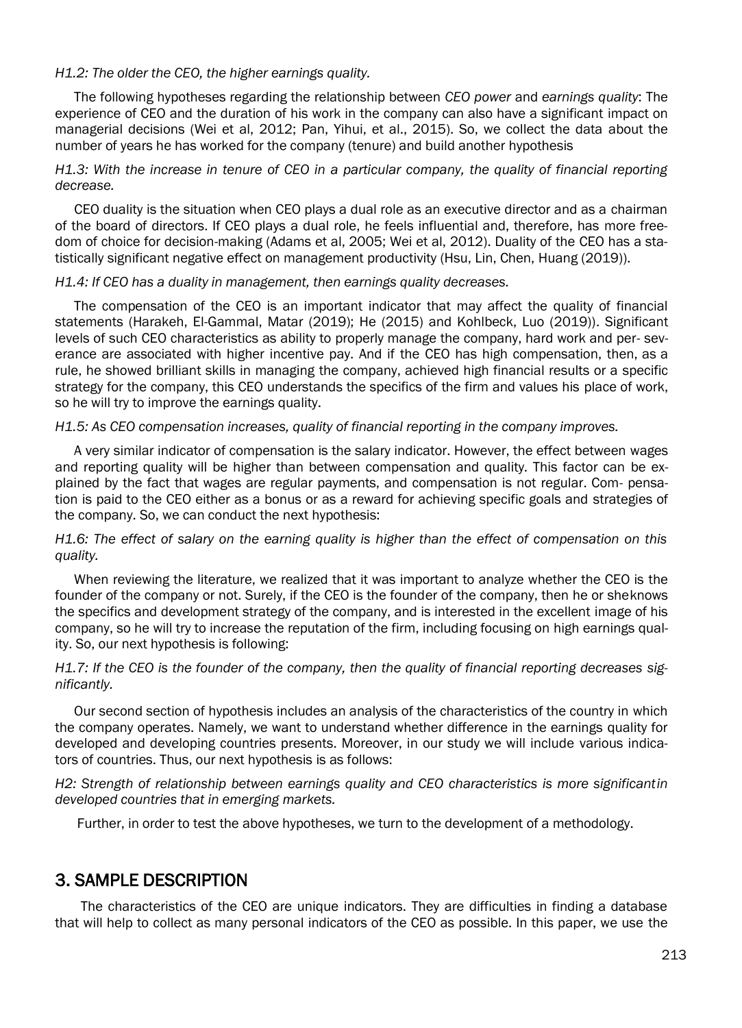#### *H1.2: The older the CEO, the higher earnings quality.*

The following hypotheses regarding the relationship between *CEO power* and *earnings quality*: The experience of CEO and the duration of his work in the company can also have a significant impact on managerial decisions (Wei et al, 2012; Pan, Yihui, et al., 2015). So, we collect the data about the number of years he has worked for the company (tenure) and build another hypothesis

### *H1.3: With the increase in tenure of CEO in a particular company, the quality of financial reporting decrease.*

CEO duality is the situation when CEO plays a dual role as an executive director and as a chairman of the board of directors. If CEO plays a dual role, he feels influential and, therefore, has more freedom of choice for decision-making (Adams et al, 2005; Wei et al, 2012). Duality of the CEO has a statistically significant negative effect on management productivity (Hsu, Lin, Chen, Huang (2019)).

#### *H1.4: If CEO has a duality in management, then earnings quality decreases.*

The compensation of the CEO is an important indicator that may affect the quality of financial statements (Harakeh, El-Gammal, Matar (2019); He (2015) and Kohlbeck, Luo (2019)). Significant levels of such CEO characteristics as ability to properly manage the company, hard work and per- severance are associated with higher incentive pay. And if the CEO has high compensation, then, as a rule, he showed brilliant skills in managing the company, achieved high financial results or a specific strategy for the company, this CEO understands the specifics of the firm and values his place of work, so he will try to improve the earnings quality.

### *H1.5: As CEO compensation increases, quality of financial reporting in the company improves.*

A very similar indicator of compensation is the salary indicator. However, the effect between wages and reporting quality will be higher than between compensation and quality. This factor can be explained by the fact that wages are regular payments, and compensation is not regular. Com- pensation is paid to the CEO either as a bonus or as a reward for achieving specific goals and strategies of the company. So, we can conduct the next hypothesis:

*H1.6: The effect of salary on the earning quality is higher than the effect of compensation on this quality.*

When reviewing the literature, we realized that it was important to analyze whether the CEO is the founder of the company or not. Surely, if the CEO is the founder of the company, then he or sheknows the specifics and development strategy of the company, and is interested in the excellent image of his company, so he will try to increase the reputation of the firm, including focusing on high earnings quality. So, our next hypothesis is following:

### *H1.7: If the CEO is the founder of the company, then the quality of financial reporting decreases significantly.*

Our second section of hypothesis includes an analysis of the characteristics of the country in which the company operates. Namely, we want to understand whether difference in the earnings quality for developed and developing countries presents. Moreover, in our study we will include various indicators of countries. Thus, our next hypothesis is as follows:

*H2: Strength of relationship between earnings quality and CEO characteristics is more significantin developed countries that in emerging markets.*

Further, in order to test the above hypotheses, we turn to the development of a methodology.

### 3. SAMPLE DESCRIPTION

The characteristics of the CEO are unique indicators. They are difficulties in finding a database that will help to collect as many personal indicators of the CEO as possible. In this paper, we use the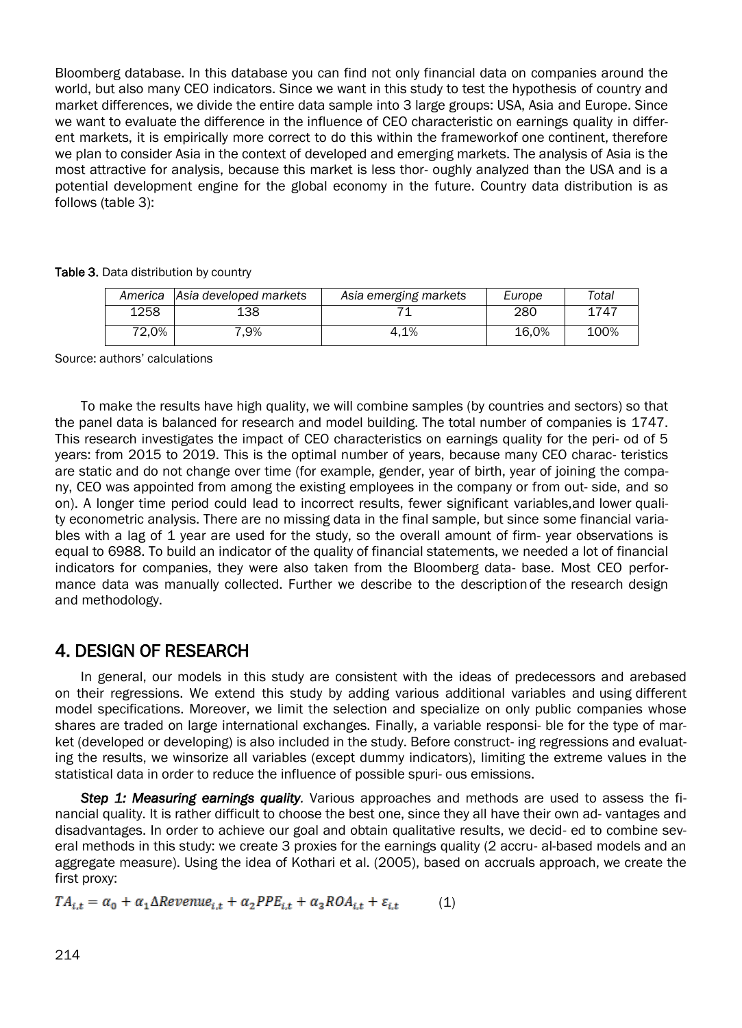Bloomberg database. In this database you can find not only financial data on companies around the world, but also many CEO indicators. Since we want in this study to test the hypothesis of country and market differences, we divide the entire data sample into 3 large groups: USA, Asia and Europe. Since we want to evaluate the difference in the influence of CEO characteristic on earnings quality in different markets, it is empirically more correct to do this within the frameworkof one continent, therefore we plan to consider Asia in the context of developed and emerging markets. The analysis of Asia is the most attractive for analysis, because this market is less thor- oughly analyzed than the USA and is a potential development engine for the global economy in the future. Country data distribution is as follows (table 3):

|       | America Asia developed markets | Asia emerging markets | Europe | Total |
|-------|--------------------------------|-----------------------|--------|-------|
| 1258  | 138                            |                       | 280    | 1747  |
| 72.0% | $.9\%$                         | 4.1%                  | 16.0%  | 100%  |

Table 3. Data distribution by country

Source: authors' calculations

To make the results have high quality, we will combine samples (by countries and sectors) so that the panel data is balanced for research and model building. The total number of companies is 1747. This research investigates the impact of CEO characteristics on earnings quality for the peri- od of 5 years: from 2015 to 2019. This is the optimal number of years, because many CEO charac- teristics are static and do not change over time (for example, gender, year of birth, year of joining the company, CEO was appointed from among the existing employees in the company or from out- side, and so on). A longer time period could lead to incorrect results, fewer significant variables,and lower quality econometric analysis. There are no missing data in the final sample, but since some financial variables with a lag of 1 year are used for the study, so the overall amount of firm- year observations is equal to 6988. To build an indicator of the quality of financial statements, we needed a lot of financial indicators for companies, they were also taken from the Bloomberg data- base. Most CEO performance data was manually collected. Further we describe to the descriptionof the research design and methodology.

### 4. DESIGN OF RESEARCH

In general, our models in this study are consistent with the ideas of predecessors and arebased on their regressions. We extend this study by adding various additional variables and using different model specifications. Moreover, we limit the selection and specialize on only public companies whose shares are traded on large international exchanges. Finally, a variable responsi- ble for the type of market (developed or developing) is also included in the study. Before construct- ing regressions and evaluating the results, we winsorize all variables (except dummy indicators), limiting the extreme values in the statistical data in order to reduce the influence of possible spuri- ous emissions.

*Step 1: Measuring earnings quality.* Various approaches and methods are used to assess the financial quality. It is rather difficult to choose the best one, since they all have their own ad- vantages and disadvantages. In order to achieve our goal and obtain qualitative results, we decid- ed to combine several methods in this study: we create 3 proxies for the earnings quality (2 accru- al-based models and an aggregate measure). Using the idea of Kothari et al. (2005), based on accruals approach, we create the first proxy:

 $TA_{i,t} = \alpha_0 + \alpha_1 \Delta$ Revenue<sub>i,t</sub> +  $\alpha_2 PPE_{i,t} + \alpha_3 ROA_{i,t} + \varepsilon_{i,t}$  (1)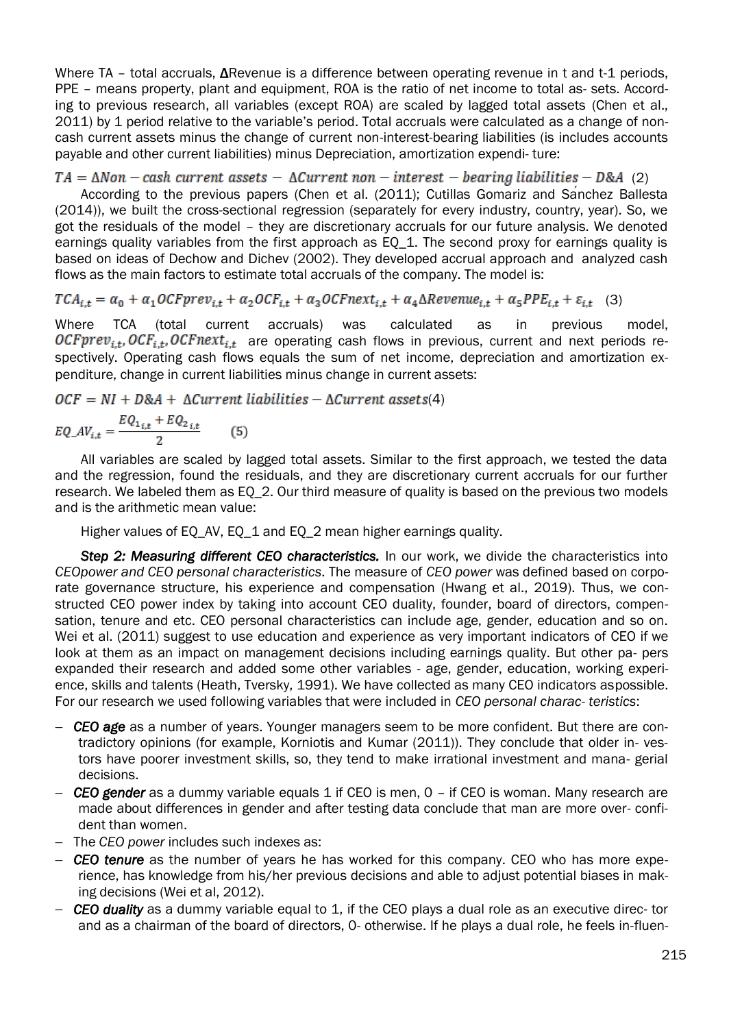Where TA – total accruals, ΔRevenue is a difference between operating revenue in t and t-1 periods, PPE – means property, plant and equipment, ROA is the ratio of net income to total as- sets. According to previous research, all variables (except ROA) are scaled by lagged total assets (Chen et al., 2011) by 1 period relative to the variable's period. Total accruals were calculated as a change of noncash current assets minus the change of current non-interest-bearing liabilities (is includes accounts payable and other current liabilities) minus Depreciation, amortization expendi- ture:

### $TA = \Delta Non - cash current assets - \Delta Current non - interest - bearing liabilities - D&A (2)$

According to the previous papers (Chen et al. (2011); Cutillas Gomariz and Sánchez Ballesta (2014)), we built the cross-sectional regression (separately for every industry, country, year). So, we got the residuals of the model – they are discretionary accruals for our future analysis. We denoted earnings quality variables from the first approach as EQ 1. The second proxy for earnings quality is based on ideas of Dechow and Dichev (2002). They developed accrual approach and analyzed cash flows as the main factors to estimate total accruals of the company. The model is:

 $TCA_{i,t} = \alpha_0 + \alpha_1 OCFprev_{i,t} + \alpha_2 OCF_{i,t} + \alpha_3 OCFnext_{i,t} + \alpha_4 \Delta Revenue_{i,t} + \alpha_5 PPE_{i,t} + \varepsilon_{i,t}$  (3)

Where TCA (total current accruals) was calculated as in previous model,  $OCFprev_{i,t}$ ,  $OCF_{i,t}$ ,  $OCFnext_{i,t}$  are operating cash flows in previous, current and next periods respectively. Operating cash flows equals the sum of net income, depreciation and amortization expenditure, change in current liabilities minus change in current assets:

 $OCF = NI + D&A + \Delta Current\ liabilities - \Delta Current\ assets(4)$ 

$$
EQ_{-}AV_{i,t} = \frac{EQ_{1i,t} + EQ_{2i,t}}{2}
$$
 (5)

All variables are scaled by lagged total assets. Similar to the first approach, we tested the data and the regression, found the residuals, and they are discretionary current accruals for our further research. We labeled them as EQ\_2. Our third measure of quality is based on the previous two models and is the arithmetic mean value:

Higher values of EQ\_AV, EQ\_1 and EQ\_2 mean higher earnings quality.

**Step 2: Measuring different CEO characteristics.** In our work, we divide the characteristics into *CEOpower and CEO personal characteristics*. The measure of *CEO power* was defined based on corporate governance structure, his experience and compensation (Hwang et al., 2019). Thus, we constructed CEO power index by taking into account CEO duality, founder, board of directors, compensation, tenure and etc. CEO personal characteristics can include age, gender, education and so on. Wei et al. (2011) suggest to use education and experience as very important indicators of CEO if we look at them as an impact on management decisions including earnings quality. But other pa- pers expanded their research and added some other variables - age, gender, education, working experience, skills and talents (Heath, Tversky, 1991). We have collected as many CEO indicators aspossible. For our research we used following variables that were included in *CEO personal charac- teristics*:

- *CEO age* as a number of years. Younger managers seem to be more confident. But there are contradictory opinions (for example, Korniotis and Kumar (2011)). They conclude that older in- vestors have poorer investment skills, so, they tend to make irrational investment and mana- gerial decisions.
- *CEO gender* as a dummy variable equals 1 if CEO is men, 0 if CEO is woman. Many research are made about differences in gender and after testing data conclude that man are more over- confident than women.
- The *CEO power* includes such indexes as:
- *CEO tenure* as the number of years he has worked for this company. CEO who has more experience, has knowledge from his/her previous decisions and able to adjust potential biases in making decisions (Wei et al, 2012).
- *CEO duality* as a dummy variable equal to 1, if the CEO plays a dual role as an executive direc- tor and as a chairman of the board of directors, 0- otherwise. If he plays a dual role, he feels in-fluen-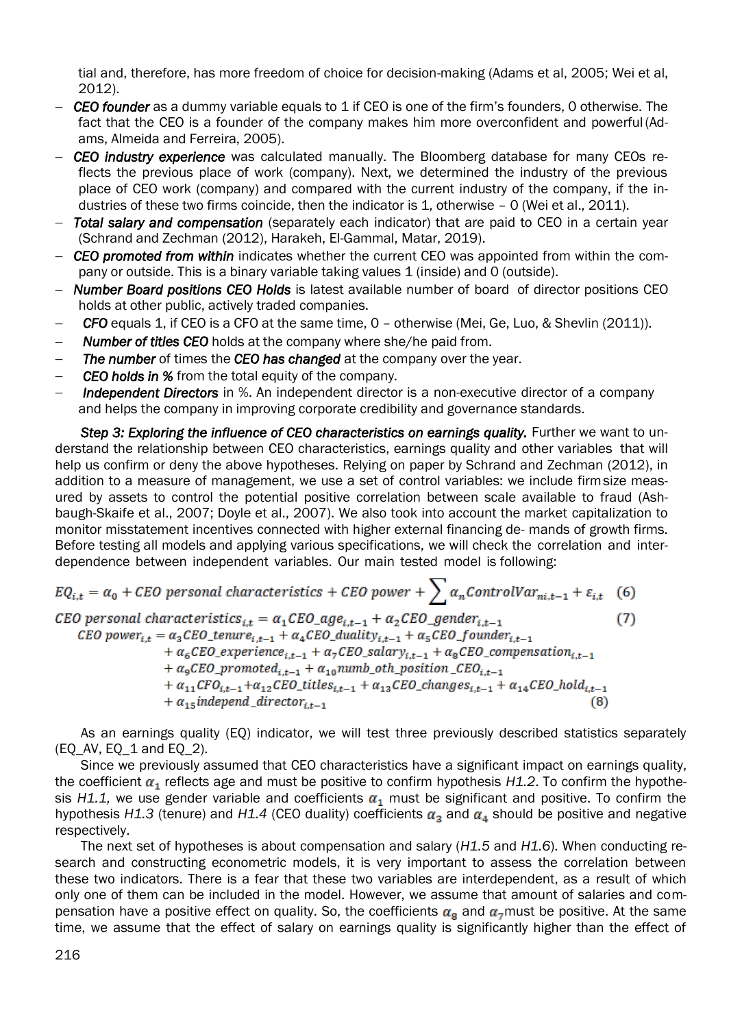tial and, therefore, has more freedom of choice for decision-making (Adams et al, 2005; Wei et al, 2012).

- *CEO founder* as a dummy variable equals to 1 if CEO is one of the firm's founders, 0 otherwise. The fact that the CEO is a founder of the company makes him more overconfident and powerful (Adams, Almeida and Ferreira, 2005).
- *CEO industry experience* was calculated manually. The Bloomberg database for many CEOs reflects the previous place of work (company). Next, we determined the industry of the previous place of CEO work (company) and compared with the current industry of the company, if the industries of these two firms coincide, then the indicator is 1, otherwise – 0 (Wei et al., 2011).
- *Total salary and compensation* (separately each indicator) that are paid to CEO in a certain year (Schrand and Zechman (2012), Harakeh, El-Gammal, Matar, 2019).
- *CEO promoted from within* indicates whether the current CEO was appointed from within the company or outside. This is a binary variable taking values 1 (inside) and 0 (outside).
- *Number Board positions CEO Holds* is latest available number of board of director positions CEO holds at other public, actively traded companies.
- *CFO* equals 1, if CEO is a CFO at the same time, 0 otherwise (Mei, Ge, Luo, & Shevlin (2011)).
- *Number of titles CEO* holds at the company where she/he paid from.
- *The number* of times the *CEO has changed* at the company over the year.
- *CEO holds in %* from the total equity of the company.
- **Independent Directors** in %. An independent director is a non-executive director of a company and helps the company in improving corporate credibility and governance standards.

**Step 3: Exploring the influence of CEO characteristics on earnings quality.** Further we want to understand the relationship between CEO characteristics, earnings quality and other variables that will help us confirm or deny the above hypotheses. Relying on paper by Schrand and Zechman (2012), in addition to a measure of management, we use a set of control variables: we include firmsize measured by assets to control the potential positive correlation between scale available to fraud (Ashbaugh-Skaife et al., 2007; Doyle et al., 2007). We also took into account the market capitalization to monitor misstatement incentives connected with higher external financing de- mands of growth firms. Before testing all models and applying various specifications, we will check the correlation and interdependence between independent variables. Our main tested model is following:

$$
EQ_{i,t} = \alpha_0 + CEO \text{ personal characteristics} + CEO \text{ power} + \sum \alpha_n ControlVar_{ni,t-1} + \varepsilon_{i,t} \quad (6)
$$

CEO personal characteristics<sub>i,t</sub> =  $\alpha_1$ CEO\_age<sub>i,t-1</sub> +  $\alpha_2$ CEO\_gender<sub>i,t-1</sub>  $(7)$ CEO power<sub>it</sub> =  $\alpha_3$ CEO\_tenure<sub>it-1</sub> +  $\alpha_4$ CEO\_duality<sub>it-1</sub> +  $\alpha_5$ CEO\_founder<sub>it-1</sub> +  $\alpha_6$ CEO\_experience<sub>it-1</sub> +  $\alpha_7$ CEO\_salary<sub>it-1</sub> +  $\alpha_8$ CEO\_compensation<sub>it-1</sub> +  $\alpha_9$ CEO\_promoted<sub>i,t-1</sub> +  $\alpha_{10}$ numb\_oth\_position\_CEO<sub>i,t-1</sub> +  $\alpha_{11}$ CFO<sub>it-1</sub>+ $\alpha_{12}$ CEO\_titles<sub>it-1</sub> +  $\alpha_{13}$ CEO\_changes<sub>it-1</sub> +  $\alpha_{14}$ CEO\_hold<sub>it-1</sub>  $+ \alpha_{15}$  independ \_director<sub>it-1</sub>

As an earnings quality (EQ) indicator, we will test three previously described statistics separately (EQ\_AV, EQ\_1 and EQ\_2).

Since we previously assumed that CEO characteristics have a significant impact on earnings quality, the coefficient  $\alpha_1$  reflects age and must be positive to confirm hypothesis *H1.2*. To confirm the hypothesis H1.1, we use gender variable and coefficients  $\alpha_1$  must be significant and positive. To confirm the hypothesis *H1.3* (tenure) and *H1.4* (CEO duality) coefficients  $\alpha_3$  and  $\alpha_4$  should be positive and negative respectively.

The next set of hypotheses is about compensation and salary (*H1.5* and *H1.6*). When conducting research and constructing econometric models, it is very important to assess the correlation between these two indicators. There is a fear that these two variables are interdependent, as a result of which only one of them can be included in the model. However, we assume that amount of salaries and compensation have a positive effect on quality. So, the coefficients  $\alpha_{\rm s}$  and  $\alpha_{\rm z}$  must be positive. At the same time, we assume that the effect of salary on earnings quality is significantly higher than the effect of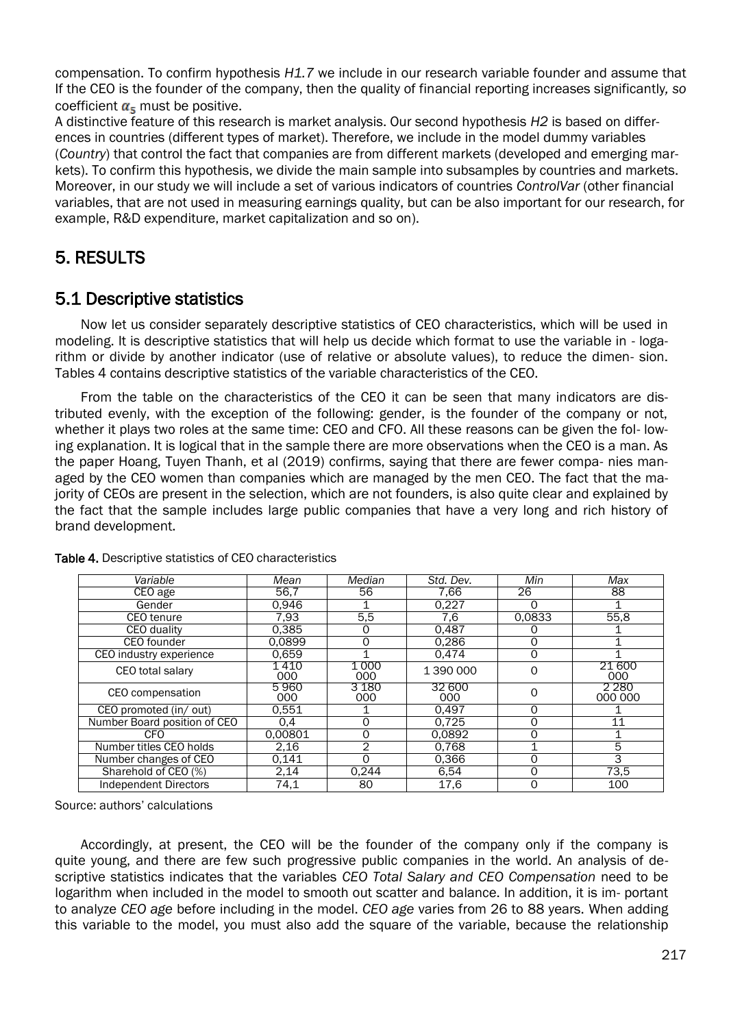compensation. To confirm hypothesis *H1.7* we include in our research variable founder and assume that If the CEO is the founder of the company, then the quality of financial reporting increases significantly*, so*  coefficient  $\alpha_{\epsilon}$  must be positive.

A distinctive feature of this research is market analysis. Our second hypothesis *H2* is based on differences in countries (different types of market). Therefore, we include in the model dummy variables (*Country*) that control the fact that companies are from different markets (developed and emerging markets). To confirm this hypothesis, we divide the main sample into subsamples by countries and markets. Moreover, in our study we will include a set of various indicators of countries *ControlVar* (other financial variables, that are not used in measuring earnings quality, but can be also important for our research, for example, R&D expenditure, market capitalization and so on).

# 5. RESULTS

# 5.1 Descriptive statistics

Now let us consider separately descriptive statistics of CEO characteristics, which will be used in modeling. It is descriptive statistics that will help us decide which format to use the variable in - logarithm or divide by another indicator (use of relative or absolute values), to reduce the dimen- sion. Tables 4 contains descriptive statistics of the variable characteristics of the CEO.

From the table on the characteristics of the CEO it can be seen that many indicators are distributed evenly, with the exception of the following: gender, is the founder of the company or not, whether it plays two roles at the same time: CEO and CFO. All these reasons can be given the fol- lowing explanation. It is logical that in the sample there are more observations when the CEO is a man. As the paper Hoang, Tuyen Thanh, et al (2019) confirms, saying that there are fewer compa- nies managed by the CEO women than companies which are managed by the men CEO. The fact that the majority of CEOs are present in the selection, which are not founders, is also quite clear and explained by the fact that the sample includes large public companies that have a very long and rich history of brand development.

| Variable                     | Mean           | Median       | Std. Dev.     | Min      | Max                |
|------------------------------|----------------|--------------|---------------|----------|--------------------|
| CEO age                      | 56.7           | 56           | 7.66          | 26       | 88                 |
| Gender                       | 0,946          |              | 0,227         | ი        |                    |
| CEO tenure                   | 7,93           | 5,5          | 7.6           | 0.0833   | 55,8               |
| <b>CEO</b> duality           | 0.385          | O            | 0.487         | O        |                    |
| <b>CEO</b> founder           | 0.0899         | 0            | 0.286         | 0        |                    |
| CEO industry experience      | 0.659          |              | 0.474         | $\Omega$ |                    |
| CEO total salary             | 1 4 1 0<br>000 | 1 000<br>000 | 1 390 000     | 0        | 21 600<br>000      |
| CEO compensation             | 5960<br>000    | 3 180<br>000 | 32 600<br>000 | 0        | 2 2 8 0<br>000 000 |
| CEO promoted (in/ out)       | 0.551          |              | 0.497         | 0        |                    |
| Number Board position of CEO | 0,4            | 0            | 0.725         | 0        | 11                 |
| <b>CFO</b>                   | 0.00801        | 0            | 0.0892        | 0        |                    |
| Number titles CEO holds      | 2,16           | 2            | 0,768         |          | 5                  |
| Number changes of CEO        | 0.141          | $\Omega$     | 0.366         | 0        | 3                  |
| Sharehold of CEO (%)         | 2,14           | 0.244        | 6,54          | 0        | 73,5               |
| <b>Independent Directors</b> | 74,1           | 80           | 17,6          | 0        | 100                |

### Table 4. Descriptive statistics of CEO characteristics

Source: authors' calculations

Accordingly, at present, the CEO will be the founder of the company only if the company is quite young, and there are few such progressive public companies in the world. An analysis of descriptive statistics indicates that the variables *CEO Total Salary and CEO Compensation* need to be logarithm when included in the model to smooth out scatter and balance. In addition, it is im- portant to analyze *CEO age* before including in the model. *CEO age* varies from 26 to 88 years. When adding this variable to the model, you must also add the square of the variable, because the relationship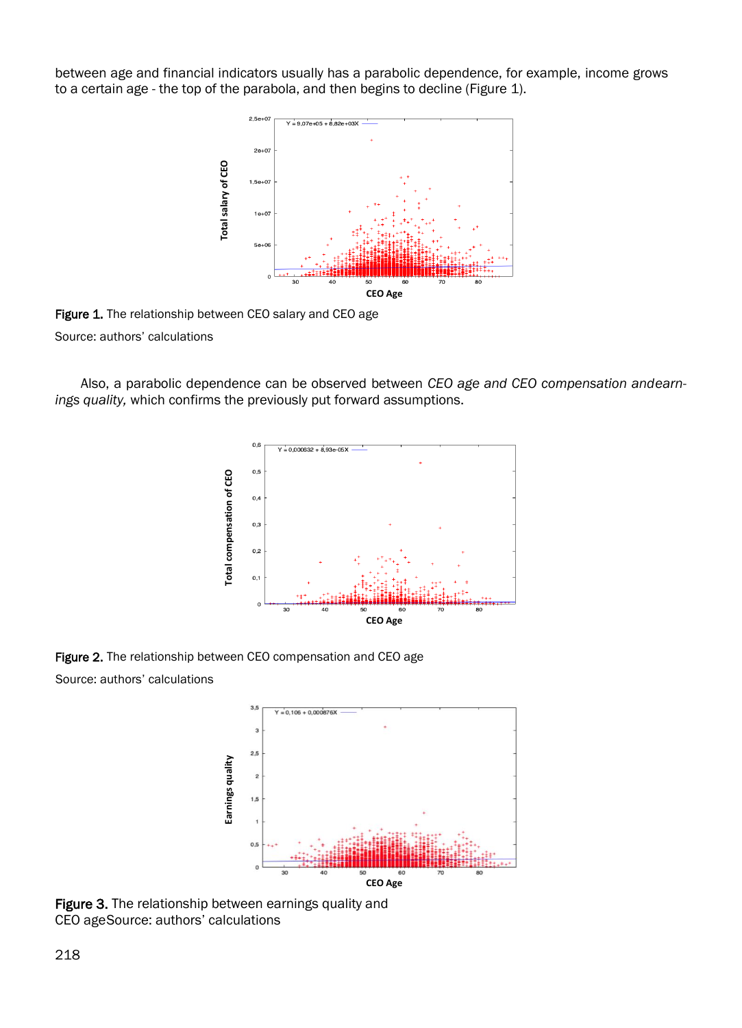between age and financial indicators usually has a parabolic dependence, for example, income grows to a certain age - the top of the parabola, and then begins to decline (Figure 1).



Figure 1. The relationship between CEO salary and CEO age Source: authors' calculations

Also, a parabolic dependence can be observed between *CEO age and CEO compensation andearnings quality,* which confirms the previously put forward assumptions.



Figure 2. The relationship between CEO compensation and CEO age Source: authors' calculations



Figure 3. The relationship between earnings quality and CEO ageSource: authors' calculations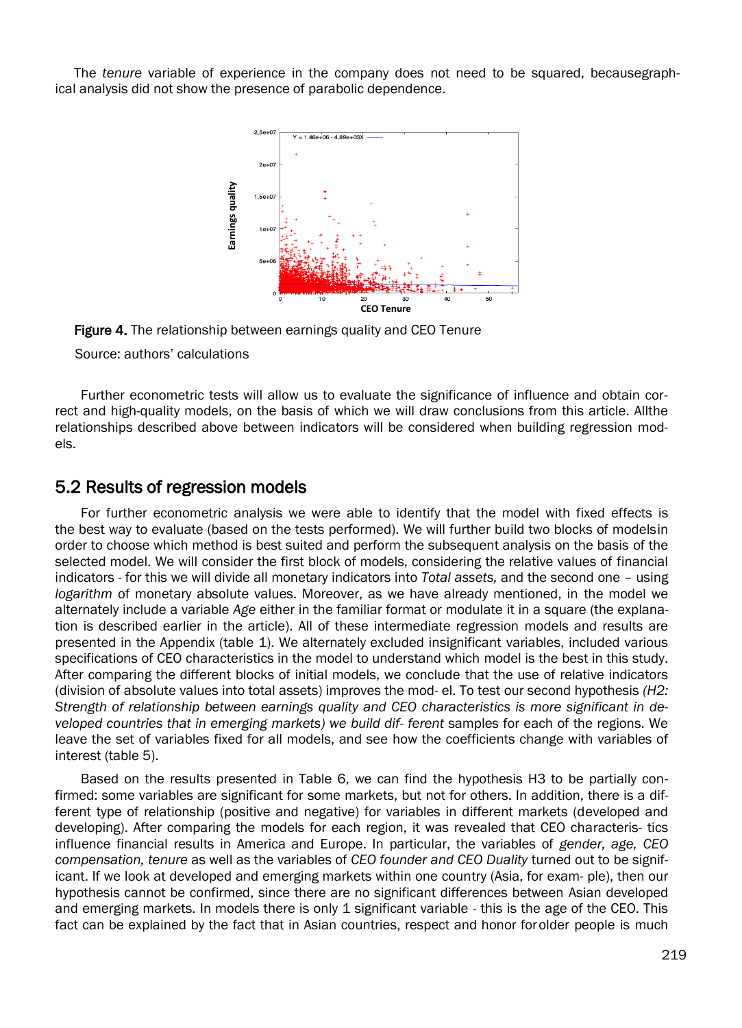The *tenure* variable of experience in the company does not need to be squared, becausegraphical analysis did not show the presence of parabolic dependence.



Figure 4. The relationship between earnings quality and CEO Tenure

Source: authors' calculations

Further econometric tests will allow us to evaluate the significance of influence and obtain correct and high-quality models, on the basis of which we will draw conclusions from this article. Allthe relationships described above between indicators will be considered when building regression models.

## 5.2 Results of regression models

For further econometric analysis we were able to identify that the model with fixed effects is the best way to evaluate (based on the tests performed). We will further build two blocks of modelsin order to choose which method is best suited and perform the subsequent analysis on the basis of the selected model. We will consider the first block of models, considering the relative values of financial indicators - for this we will divide all monetary indicators into *Total assets,* and the second one – using *logarithm* of monetary absolute values. Moreover, as we have already mentioned, in the model we alternately include a variable *Age* either in the familiar format or modulate it in a square (the explanation is described earlier in the article). All of these intermediate regression models and results are presented in the Appendix (table 1). We alternately excluded insignificant variables, included various specifications of CEO characteristics in the model to understand which model is the best in this study. After comparing the different blocks of initial models, we conclude that the use of relative indicators (division of absolute values into total assets) improves the mod- el. To test our second hypothesis *(H2: Strength of relationship between earnings quality and CEO characteristics is more significant in developed countries that in emerging markets) we build dif- ferent* samples for each of the regions. We leave the set of variables fixed for all models, and see how the coefficients change with variables of interest (table 5).

Based on the results presented in Table 6, we can find the hypothesis H3 to be partially confirmed: some variables are significant for some markets, but not for others. In addition, there is a different type of relationship (positive and negative) for variables in different markets (developed and developing). After comparing the models for each region, it was revealed that CEO characteris- tics influence financial results in America and Europe. In particular, the variables of *gender, age, CEO compensation, tenure* as well as the variables of *CEO founder and CEO Duality* turned out to be significant. If we look at developed and emerging markets within one country (Asia, for exam- ple), then our hypothesis cannot be confirmed, since there are no significant differences between Asian developed and emerging markets. In models there is only 1 significant variable - this is the age of the CEO. This fact can be explained by the fact that in Asian countries, respect and honor forolder people is much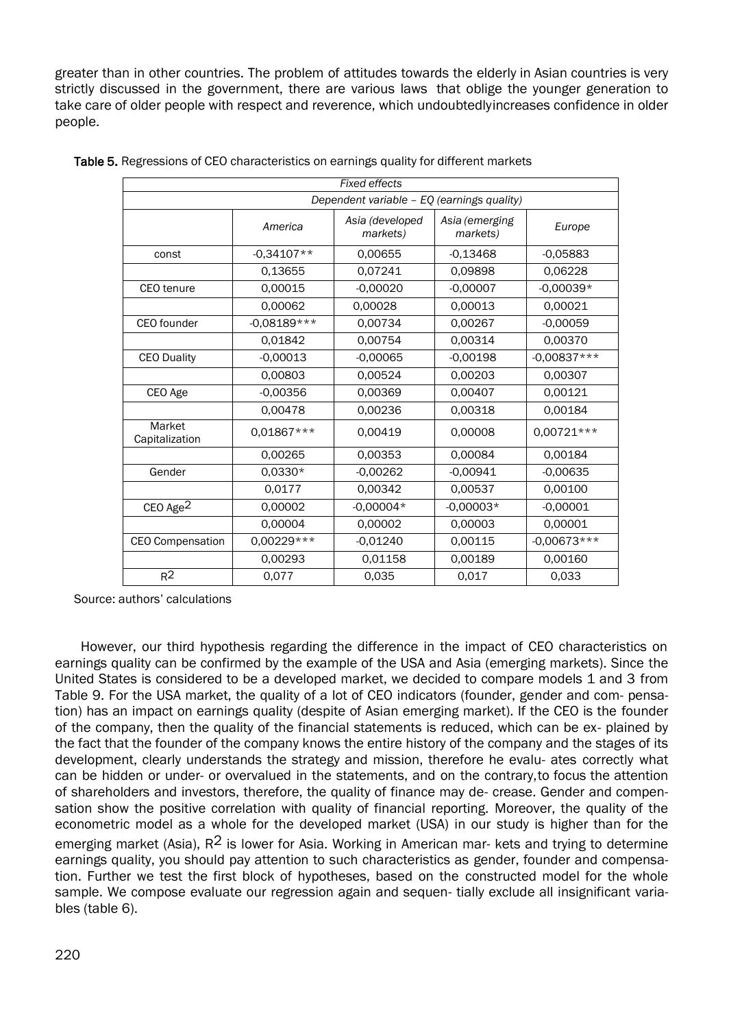greater than in other countries. The problem of attitudes towards the elderly in Asian countries is very strictly discussed in the government, there are various laws that oblige the younger generation to take care of older people with respect and reverence, which undoubtedlyincreases confidence in older people.

| <b>Fixed effects</b>                       |               |                             |                            |               |  |  |  |
|--------------------------------------------|---------------|-----------------------------|----------------------------|---------------|--|--|--|
| Dependent variable - EQ (earnings quality) |               |                             |                            |               |  |  |  |
|                                            | America       | Asia (developed<br>markets) | Asia (emerging<br>markets) | Europe        |  |  |  |
| const                                      | $-0.34107**$  | 0.00655                     | $-0.13468$                 | $-0.05883$    |  |  |  |
|                                            | 0.13655       | 0.07241                     | 0.09898                    | 0.06228       |  |  |  |
| <b>CEO</b> tenure                          | 0.00015       | $-0.00020$                  | $-0.00007$                 | $-0.00039*$   |  |  |  |
|                                            | 0.00062       | 0.00028                     | 0.00013                    | 0.00021       |  |  |  |
| CEO founder                                | $-0.08189***$ | 0.00734                     | 0.00267                    | $-0.00059$    |  |  |  |
|                                            | 0.01842       | 0.00754                     | 0.00314                    | 0.00370       |  |  |  |
| <b>CEO Duality</b>                         | $-0.00013$    | $-0.00065$                  | $-0.00198$                 | $-0.00837***$ |  |  |  |
|                                            | 0.00803       | 0.00524                     | 0.00203                    | 0.00307       |  |  |  |
| CEO Age                                    | $-0,00356$    | 0,00369                     | 0,00407                    | 0,00121       |  |  |  |
|                                            | 0.00478       | 0.00236                     | 0.00318                    | 0.00184       |  |  |  |
| Market<br>Capitalization                   | $0.01867***$  | 0.00419                     | 0.00008                    | $0.00721***$  |  |  |  |
|                                            | 0.00265       | 0.00353                     | 0.00084                    | 0.00184       |  |  |  |
| Gender                                     | $0.0330*$     | $-0.00262$                  | $-0.00941$                 | $-0.00635$    |  |  |  |
|                                            | 0.0177        | 0.00342                     | 0.00537                    | 0.00100       |  |  |  |
| CEO Age <sup>2</sup>                       | 0.00002       | $-0.00004*$                 | $-0.00003*$                | $-0.00001$    |  |  |  |
|                                            | 0.00004       | 0.00002                     | 0.00003                    | 0.00001       |  |  |  |
| <b>CEO Compensation</b>                    | $0.00229***$  | $-0.01240$                  | 0.00115                    | $-0.00673***$ |  |  |  |
|                                            | 0.00293       | 0,01158                     | 0.00189                    | 0.00160       |  |  |  |
| R <sup>2</sup>                             | 0,077         | 0.035                       | 0.017                      | 0.033         |  |  |  |

Source: authors' calculations

However, our third hypothesis regarding the difference in the impact of CEO characteristics on earnings quality can be confirmed by the example of the USA and Asia (emerging markets). Since the United States is considered to be a developed market, we decided to compare models 1 and 3 from Table 9. For the USA market, the quality of a lot of CEO indicators (founder, gender and com- pensation) has an impact on earnings quality (despite of Asian emerging market). If the CEO is the founder of the company, then the quality of the financial statements is reduced, which can be ex- plained by the fact that the founder of the company knows the entire history of the company and the stages of its development, clearly understands the strategy and mission, therefore he evalu- ates correctly what can be hidden or under- or overvalued in the statements, and on the contrary,to focus the attention of shareholders and investors, therefore, the quality of finance may de- crease. Gender and compensation show the positive correlation with quality of financial reporting. Moreover, the quality of the econometric model as a whole for the developed market (USA) in our study is higher than for the emerging market (Asia),  $R^2$  is lower for Asia. Working in American mar- kets and trying to determine earnings quality, you should pay attention to such characteristics as gender, founder and compensation. Further we test the first block of hypotheses, based on the constructed model for the whole sample. We compose evaluate our regression again and sequen- tially exclude all insignificant variables (table 6).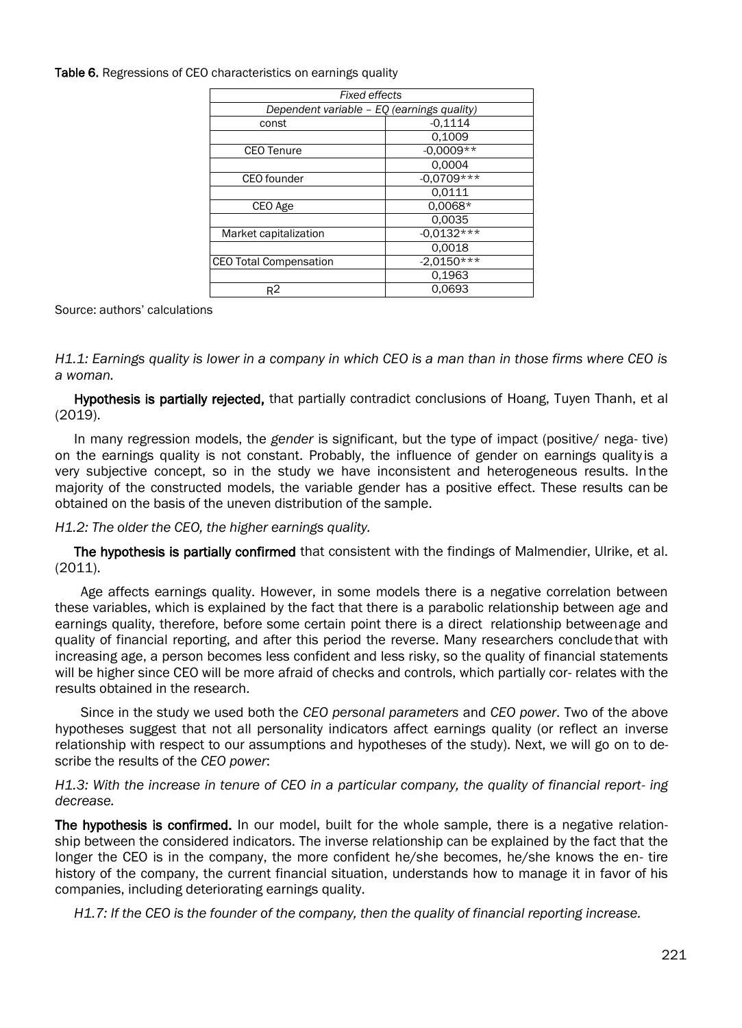Table 6. Regressions of CEO characteristics on earnings quality

| <b>Fixed effects</b>                       |              |  |  |  |
|--------------------------------------------|--------------|--|--|--|
| Dependent variable - EQ (earnings quality) |              |  |  |  |
| const                                      | $-0.1114$    |  |  |  |
|                                            | 0.1009       |  |  |  |
| <b>CEO Tenure</b>                          | $-0,0009**$  |  |  |  |
|                                            | 0.0004       |  |  |  |
| CEO founder                                | $-0.0709***$ |  |  |  |
|                                            | 0.0111       |  |  |  |
| CEO Age                                    | $0.0068*$    |  |  |  |
|                                            | 0.0035       |  |  |  |
| Market capitalization                      | $-0.0132***$ |  |  |  |
|                                            | 0.0018       |  |  |  |
| <b>CEO Total Compensation</b>              | $-2,0150***$ |  |  |  |
|                                            | 0.1963       |  |  |  |
| $R^2$                                      | 0.0693       |  |  |  |

Source: authors' calculations

*H1.1: Earnings quality is lower in a company in which CEO is a man than in those firms where CEO is a woman.*

Hypothesis is partially rejected, that partially contradict conclusions of Hoang, Tuyen Thanh, et al (2019).

In many regression models, the *gender* is significant, but the type of impact (positive/ nega- tive) on the earnings quality is not constant. Probably, the influence of gender on earnings quality is a very subjective concept, so in the study we have inconsistent and heterogeneous results. In the majority of the constructed models, the variable gender has a positive effect. These results can be obtained on the basis of the uneven distribution of the sample.

*H1.2: The older the CEO, the higher earnings quality.*

The hypothesis is partially confirmed that consistent with the findings of Malmendier, Ulrike, et al. (2011).

Age affects earnings quality. However, in some models there is a negative correlation between these variables, which is explained by the fact that there is a parabolic relationship between age and earnings quality, therefore, before some certain point there is a direct relationship betweenage and quality of financial reporting, and after this period the reverse. Many researchers concludethat with increasing age, a person becomes less confident and less risky, so the quality of financial statements will be higher since CEO will be more afraid of checks and controls, which partially cor- relates with the results obtained in the research.

Since in the study we used both the *CEO personal parameters* and *CEO power*. Two of the above hypotheses suggest that not all personality indicators affect earnings quality (or reflect an inverse relationship with respect to our assumptions and hypotheses of the study). Next, we will go on to describe the results of the *CEO power*:

*H1.3: With the increase in tenure of CEO in a particular company, the quality of financial report- ing decrease.*

The hypothesis is confirmed. In our model, built for the whole sample, there is a negative relationship between the considered indicators. The inverse relationship can be explained by the fact that the longer the CEO is in the company, the more confident he/she becomes, he/she knows the en- tire history of the company, the current financial situation, understands how to manage it in favor of his companies, including deteriorating earnings quality.

*H1.7: If the CEO is the founder of the company, then the quality of financial reporting increase.*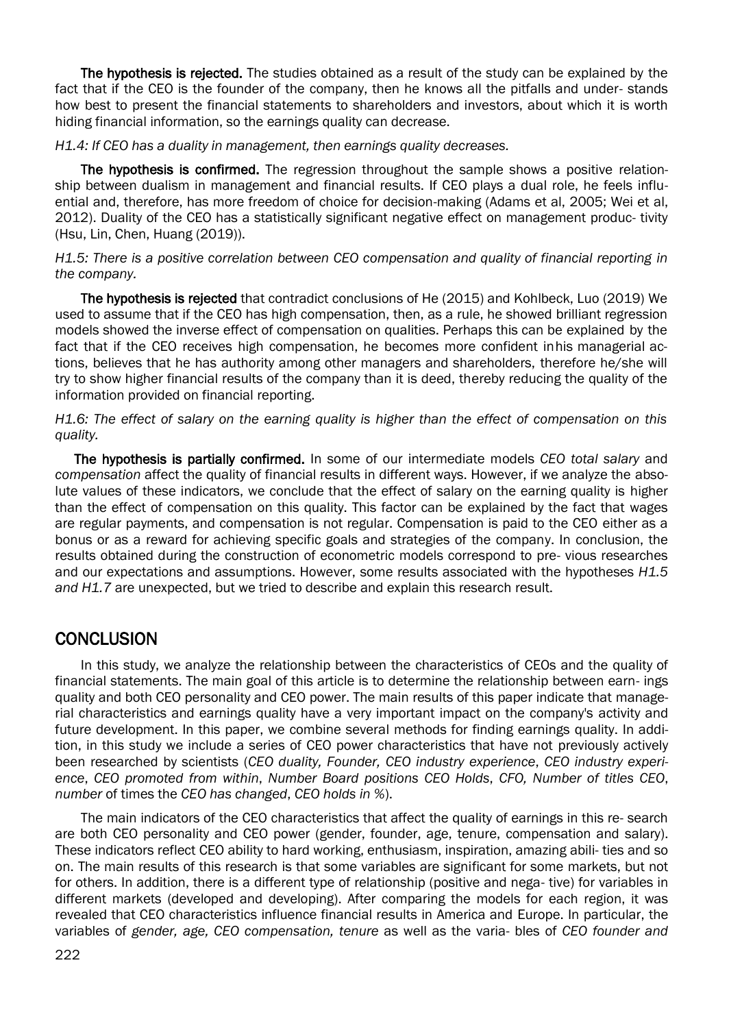The hypothesis is rejected. The studies obtained as a result of the study can be explained by the fact that if the CEO is the founder of the company, then he knows all the pitfalls and under- stands how best to present the financial statements to shareholders and investors, about which it is worth hiding financial information, so the earnings quality can decrease.

*H1.4: If CEO has a duality in management, then earnings quality decreases.*

The hypothesis is confirmed. The regression throughout the sample shows a positive relationship between dualism in management and financial results. If CEO plays a dual role, he feels influential and, therefore, has more freedom of choice for decision-making (Adams et al, 2005; Wei et al, 2012). Duality of the CEO has a statistically significant negative effect on management produc- tivity (Hsu, Lin, Chen, Huang (2019)).

*H1.5: There is a positive correlation between CEO compensation and quality of financial reporting in the company.*

The hypothesis is rejected that contradict conclusions of He (2015) and Kohlbeck, Luo (2019) We used to assume that if the CEO has high compensation, then, as a rule, he showed brilliant regression models showed the inverse effect of compensation on qualities. Perhaps this can be explained by the fact that if the CEO receives high compensation, he becomes more confident inhis managerial actions, believes that he has authority among other managers and shareholders, therefore he/she will try to show higher financial results of the company than it is deed, thereby reducing the quality of the information provided on financial reporting.

*H1.6: The effect of salary on the earning quality is higher than the effect of compensation on this quality.*

The hypothesis is partially confirmed. In some of our intermediate models *CEO total salary* and *compensation* affect the quality of financial results in different ways. However, if we analyze the absolute values of these indicators, we conclude that the effect of salary on the earning quality is higher than the effect of compensation on this quality. This factor can be explained by the fact that wages are regular payments, and compensation is not regular. Compensation is paid to the CEO either as a bonus or as a reward for achieving specific goals and strategies of the company. In conclusion, the results obtained during the construction of econometric models correspond to pre- vious researches and our expectations and assumptions. However, some results associated with the hypotheses *H1.5 and H1.7* are unexpected, but we tried to describe and explain this research result.

# **CONCLUSION**

In this study, we analyze the relationship between the characteristics of CEOs and the quality of financial statements. The main goal of this article is to determine the relationship between earn- ings quality and both CEO personality and CEO power. The main results of this paper indicate that managerial characteristics and earnings quality have a very important impact on the company's activity and future development. In this paper, we combine several methods for finding earnings quality. In addition, in this study we include a series of CEO power characteristics that have not previously actively been researched by scientists (*CEO duality, Founder, CEO industry experience*, *CEO industry experience*, *CEO promoted from within*, *Number Board positions CEO Holds*, *CFO, Number of titles CEO*, *number* of times the *CEO has changed*, *CEO holds in %*).

The main indicators of the CEO characteristics that affect the quality of earnings in this re- search are both CEO personality and CEO power (gender, founder, age, tenure, compensation and salary). These indicators reflect CEO ability to hard working, enthusiasm, inspiration, amazing abili- ties and so on. The main results of this research is that some variables are significant for some markets, but not for others. In addition, there is a different type of relationship (positive and nega- tive) for variables in different markets (developed and developing). After comparing the models for each region, it was revealed that CEO characteristics influence financial results in America and Europe. In particular, the variables of *gender, age, CEO compensation, tenure* as well as the varia- bles of *CEO founder and*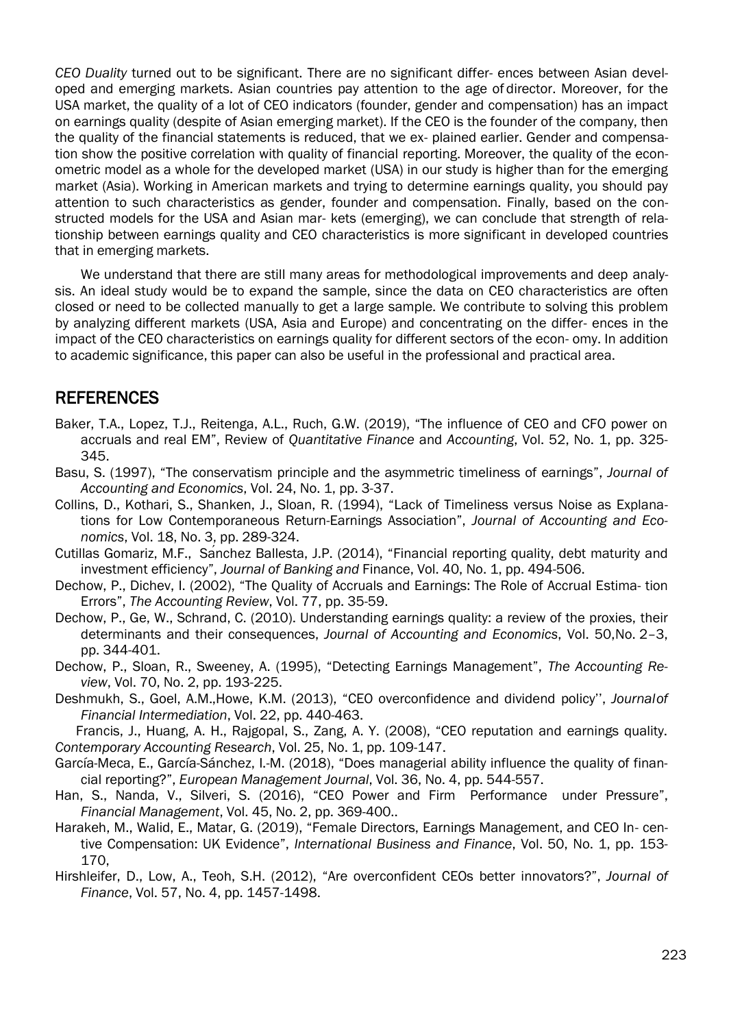*CEO Duality* turned out to be significant. There are no significant differ- ences between Asian developed and emerging markets. Asian countries pay attention to the age of director. Moreover, for the USA market, the quality of a lot of CEO indicators (founder, gender and compensation) has an impact on earnings quality (despite of Asian emerging market). If the CEO is the founder of the company, then the quality of the financial statements is reduced, that we ex- plained earlier. Gender and compensation show the positive correlation with quality of financial reporting. Moreover, the quality of the econometric model as a whole for the developed market (USA) in our study is higher than for the emerging market (Asia). Working in American markets and trying to determine earnings quality, you should pay attention to such characteristics as gender, founder and compensation. Finally, based on the constructed models for the USA and Asian mar- kets (emerging), we can conclude that strength of relationship between earnings quality and CEO characteristics is more significant in developed countries that in emerging markets.

We understand that there are still many areas for methodological improvements and deep analysis. An ideal study would be to expand the sample, since the data on CEO characteristics are often closed or need to be collected manually to get a large sample. We contribute to solving this problem by analyzing different markets (USA, Asia and Europe) and concentrating on the differ- ences in the impact of the CEO characteristics on earnings quality for different sectors of the econ- omy. In addition to academic significance, this paper can also be useful in the professional and practical area.

### REFERENCES

- Baker, T.A., Lopez, T.J., Reitenga, A.L., Ruch, G.W. (2019), "The influence of CEO and CFO power on accruals and real EM", Review of *Quantitative Finance* and *Accounting*, Vol. 52, No. 1, pp. 325- 345.
- Basu, S. (1997), "The conservatism principle and the asymmetric timeliness of earnings", *Journal of Accounting and Economics*, Vol. 24, No. 1, pp. 3-37.
- Collins, D., Kothari, S., Shanken, J., Sloan, R. (1994), "Lack of Timeliness versus Noise as Explanations for Low Contemporaneous Return-Earnings Association", *Journal of Accounting and Economics*, Vol. 18, No. 3, pp. 289-324.
- Cutillas Gomariz, M.F., Sánchez Ballesta, J.P. (2014), "Financial reporting quality, debt maturity and investment efficiency", *Journal of Banking and* Finance, Vol. 40, No. 1, pp. 494-506.
- Dechow, P., Dichev, I. (2002), "The Quality of Accruals and Earnings: The Role of Accrual Estima- tion Errors", *The Accounting Review*, Vol. 77, pp. 35-59.
- Dechow, P., Ge, W., Schrand, C. (2010). Understanding earnings quality: a review of the proxies, their determinants and their consequences, *Journal of Accounting and Economics*, Vol. 50,No. 2–3, pp. 344-401.
- Dechow, P., Sloan, R., Sweeney, A. (1995), "Detecting Earnings Management", *The Accounting Review*, Vol. 70, No. 2, pp. 193-225.
- Deshmukh, S., Goel, A.M.,Howe, K.M. (2013), "CEO overconfidence and dividend policy'', *Journalof Financial Intermediation*, Vol. 22, pp. 440-463.

Francis, J., Huang, A. H., Rajgopal, S., Zang, A. Y. (2008), "CEO reputation and earnings quality. *Contemporary Accounting Research*, Vol. 25, No. 1, pp. 109-147.

- García-Meca, E., García-Sánchez, I.-M. (2018), "Does managerial ability influence the quality of financial reporting?", *European Management Journal*, Vol. 36, No. 4, pp. 544-557.
- Han, S., Nanda, V., Silveri, S. (2016), "CEO Power and Firm Performance under Pressure", *Financial Management*, Vol. 45, No. 2, pp. 369-400..
- Harakeh, M., Walid, E., Matar, G. (2019), "Female Directors, Earnings Management, and CEO In- centive Compensation: UK Evidence", *International Business and Finance*, Vol. 50, No. 1, pp. 153- 170,
- Hirshleifer, D., Low, A., Teoh, S.H. (2012), "Are overconfident CEOs better innovators?", *Journal of Finance*, Vol. 57, No. 4, pp. 1457-1498.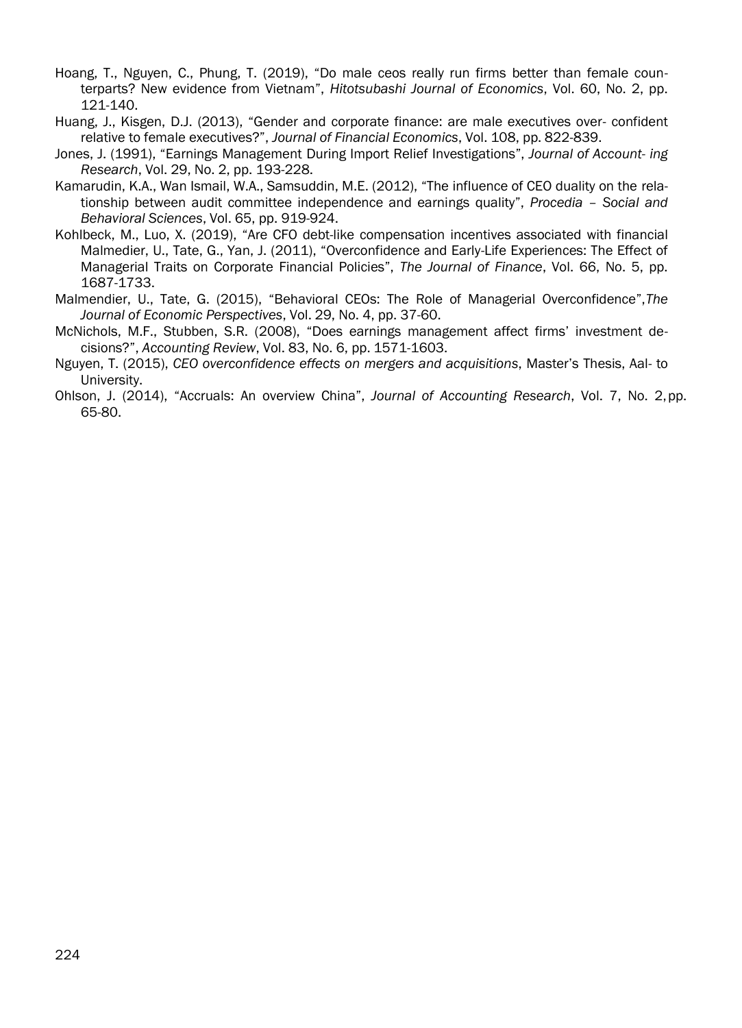- Hoang, T., Nguyen, C., Phung, T. (2019), "Do male ceos really run firms better than female counterparts? New evidence from Vietnam", *Hitotsubashi Journal of Economics*, Vol. 60, No. 2, pp. 121-140.
- Huang, J., Kisgen, D.J. (2013), "Gender and corporate finance: are male executives over- confident relative to female executives?", *Journal of Financial Economics*, Vol. 108, pp. 822-839.
- Jones, J. (1991), "Earnings Management During Import Relief Investigations", *Journal of Account- ing Research*, Vol. 29, No. 2, pp. 193-228.
- Kamarudin, K.A., Wan Ismail, W.A., Samsuddin, M.E. (2012), "The influence of CEO duality on the relationship between audit committee independence and earnings quality", *Procedia – Social and Behavioral Sciences*, Vol. 65, pp. 919-924.
- Kohlbeck, M., Luo, X. (2019), "Are CFO debt-like compensation incentives associated with financial Malmedier, U., Tate, G., Yan, J. (2011), "Overconfidence and Early-Life Experiences: The Effect of Managerial Traits on Corporate Financial Policies", *The Journal of Finance*, Vol. 66, No. 5, pp. 1687-1733.
- Malmendier, U., Tate, G. (2015), "Behavioral CEOs: The Role of Managerial Overconfidence",*The Journal of Economic Perspectives*, Vol. 29, No. 4, pp. 37-60.
- McNichols, M.F., Stubben, S.R. (2008), "Does earnings management affect firms' investment decisions?", *Accounting Review*, Vol. 83, No. 6, pp. 1571-1603.
- Nguyen, T. (2015), *CEO overconfidence effects on mergers and acquisitions*, Master's Thesis, Aal- to University.
- Ohlson, J. (2014), "Accruals: An overview China", *Journal of Accounting Research*, Vol. 7, No. 2,pp. 65-80.